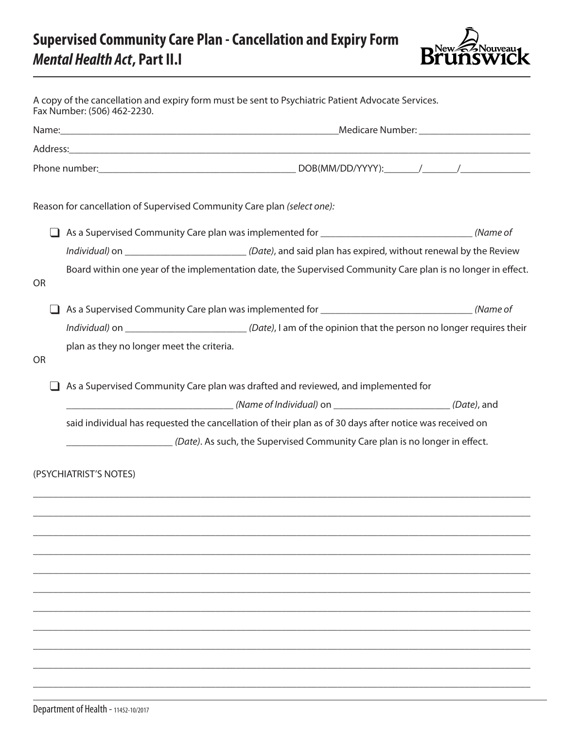## **Supervised Community Care Plan - Cancellation and Expiry Form** *Mental Health Act***, Part II.I**



|           | A copy of the cancellation and expiry form must be sent to Psychiatric Patient Advocate Services.<br>Fax Number: (506) 462-2230. |
|-----------|----------------------------------------------------------------------------------------------------------------------------------|
|           |                                                                                                                                  |
|           |                                                                                                                                  |
|           |                                                                                                                                  |
|           | Reason for cancellation of Supervised Community Care plan (select one):                                                          |
|           | As a Supervised Community Care plan was implemented for ________________________________(Name of                                 |
|           | Individual) on _________________________________(Date), and said plan has expired, without renewal by the Review                 |
| <b>OR</b> | Board within one year of the implementation date, the Supervised Community Care plan is no longer in effect.                     |
|           | As a Supervised Community Care plan was implemented for ________________________________(Name of                                 |
|           | Individual) on ______________________________(Date), I am of the opinion that the person no longer requires their                |
| <b>OR</b> | plan as they no longer meet the criteria.                                                                                        |
|           | As a Supervised Community Care plan was drafted and reviewed, and implemented for                                                |
|           | said individual has requested the cancellation of their plan as of 30 days after notice was received on                          |
|           | (Date). As such, the Supervised Community Care plan is no longer in effect.                                                      |
|           | (PSYCHIATRIST'S NOTES)                                                                                                           |
|           |                                                                                                                                  |
|           |                                                                                                                                  |
|           |                                                                                                                                  |
|           |                                                                                                                                  |
|           |                                                                                                                                  |
|           |                                                                                                                                  |
|           |                                                                                                                                  |
|           |                                                                                                                                  |